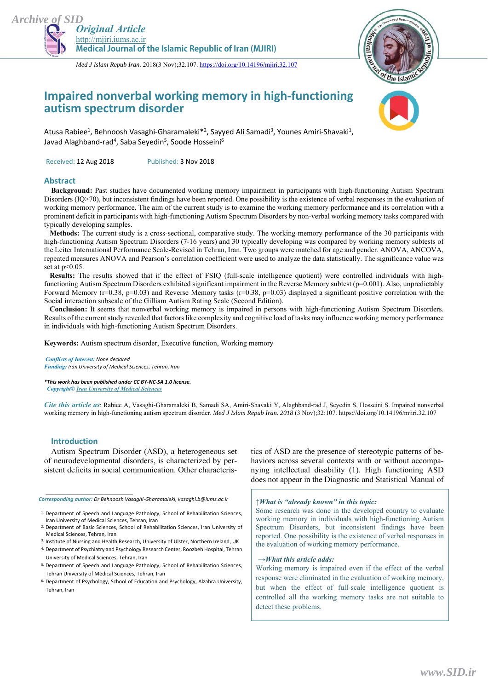



*Med J Islam Repub Iran.* 2018(3 Nov);32.107. https://doi.org/10.14196/mjiri.32.107

## **Impaired nonverbal working memory in high‐functioning autism spectrum disorder**



Atusa Rabiee<sup>1</sup>, Behnoosh Vasaghi-Gharamaleki<sup>\*2</sup>, Sayyed Ali Samadi<sup>3</sup>, Younes Amiri-Shavaki<sup>1</sup>, Javad Alaghband-rad<sup>4</sup>, Saba Seyedin<sup>5</sup>, Soode Hosseini<sup>6</sup>

Received: 12 Aug 2018 Published: 3 Nov 2018

### **Abstract**

**Background:** Past studies have documented working memory impairment in participants with high-functioning Autism Spectrum Disorders (IQ>70), but inconsistent findings have been reported. One possibility is the existence of verbal responses in the evaluation of working memory performance. The aim of the current study is to examine the working memory performance and its correlation with a prominent deficit in participants with high-functioning Autism Spectrum Disorders by non-verbal working memory tasks compared with typically developing samples.

 **Methods:** The current study is a cross-sectional, comparative study. The working memory performance of the 30 participants with high-functioning Autism Spectrum Disorders (7-16 years) and 30 typically developing was compared by working memory subtests of the Leiter International Performance Scale-Revised in Tehran, Iran. Two groups were matched for age and gender. ANOVA, ANCOVA, repeated measures ANOVA and Pearson's correlation coefficient were used to analyze the data statistically. The significance value was set at  $p<0.05$ .

 **Results:** The results showed that if the effect of FSIQ (full-scale intelligence quotient) were controlled individuals with highfunctioning Autism Spectrum Disorders exhibited significant impairment in the Reverse Memory subtest (p=0.001). Also, unpredictably Forward Memory ( $r=0.38$ ,  $p=0.03$ ) and Reverse Memory tasks ( $r=0.38$ ,  $p=0.03$ ) displayed a significant positive correlation with the Social interaction subscale of the Gilliam Autism Rating Scale (Second Edition).

 **Conclusion:** It seems that nonverbal working memory is impaired in persons with high-functioning Autism Spectrum Disorders. Results of the current study revealed that factors like complexity and cognitive load of tasks may influence working memory performance in individuals with high-functioning Autism Spectrum Disorders.

**Keywords:** Autism spectrum disorder, Executive function, Working memory

*Conflicts of Interest: None declared Funding: Iran University of Medical Sciences, Tehran, Iran*

*\*This work has been published under CC BY‐NC‐SA 1.0 license. Copyright© Iran University of Medical Sciences* 

*Cite this article as*: Rabiee A, Vasaghi-Gharamaleki B, Samadi SA, Amiri-Shavaki Y, Alaghband-rad J, Seyedin S, Hosseini S. Impaired nonverbal working memory in high-functioning autism spectrum disorder. *Med J Islam Repub Iran. 2018* (3 Nov);32:107. https://doi.org/10.14196/mjiri.32.107

### **Introduction**

*\_\_\_\_\_\_\_\_\_\_\_\_\_\_\_\_\_\_\_\_\_\_\_\_\_\_\_\_\_\_* 

Autism Spectrum Disorder (ASD), a heterogeneous set of neurodevelopmental disorders, is characterized by persistent deficits in social communication. Other characteris-

*Corresponding author: Dr Behnoosh Vasaghi‐Gharamaleki, vasaghi.b@iums.ac.ir*

tics of ASD are the presence of stereotypic patterns of behaviors across several contexts with or without accompanying intellectual disability (1). High functioning ASD does not appear in the Diagnostic and Statistical Manual of

### *↑What is "already known" in this topic:*

Some research was done in the developed country to evaluate working memory in individuals with high-functioning Autism Spectrum Disorders, but inconsistent findings have been reported. One possibility is the existence of verbal responses in the evaluation of working memory performance.

#### *→What this article adds:*

Working memory is impaired even if the effect of the verbal response were eliminated in the evaluation of working memory, but when the effect of full-scale intelligence quotient is controlled all the working memory tasks are not suitable to detect these problems.

<sup>&</sup>lt;sup>1.</sup> Department of Speech and Language Pathology, School of Rehabilitation Sciences, Iran University of Medical Sciences, Tehran, Iran

<sup>2.</sup> Department of Basic Sciences, School of Rehabilitation Sciences, Iran University of Medical Sciences, Tehran, Iran

<sup>&</sup>lt;sup>3.</sup> Institute of Nursing and Health Research, University of Ulster, Northern Ireland, UK

<sup>4.</sup> Department of Psychiatry and Psychology Research Center, Roozbeh Hospital, Tehran University of Medical Sciences, Tehran, Iran

<sup>5.</sup> Department of Speech and Language Pathology, School of Rehabilitation Sciences, Tehran University of Medical Sciences, Tehran, Iran

<sup>&</sup>lt;sup>6.</sup> Department of Psychology, School of Education and Psychology, Alzahra University, Tehran, Iran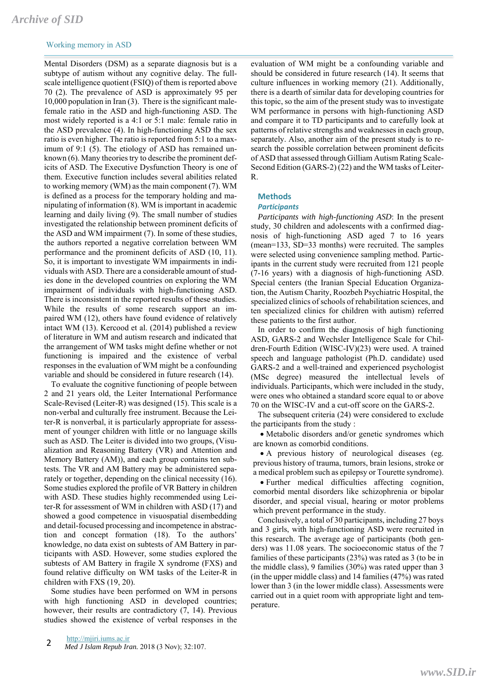# *Archive of SID*

## Working memory in ASD

Mental Disorders (DSM) as a separate diagnosis but is a subtype of autism without any cognitive delay. The fullscale intelligence quotient (FSIQ) of them is reported above 70 (2). The prevalence of ASD is approximately 95 per 10,000 population in Iran (3). There is the significant malefemale ratio in the ASD and high-functioning ASD. The most widely reported is a 4:1 or 5:1 male: female ratio in the ASD prevalence (4). In high-functioning ASD the sex ratio is even higher. The ratio is reported from 5:1 to a maximum of 9:1 (5). The etiology of ASD has remained unknown (6). Many theories try to describe the prominent deficits of ASD. The Executive Dysfunction Theory is one of them. Executive function includes several abilities related to working memory (WM) as the main component (7). WM is defined as a process for the temporary holding and manipulating of information (8). WM is important in academic learning and daily living (9). The small number of studies investigated the relationship between prominent deficits of the ASD and WM impairment (7). In some of these studies, the authors reported a negative correlation between WM performance and the prominent deficits of ASD (10, 11). So, it is important to investigate WM impairments in individuals with ASD. There are a considerable amount of studies done in the developed countries on exploring the WM impairment of individuals with high-functioning ASD. There is inconsistent in the reported results of these studies. While the results of some research support an impaired WM (12), others have found evidence of relatively intact WM (13). Kercood et al. (2014) published a review of literature in WM and autism research and indicated that the arrangement of WM tasks might define whether or not functioning is impaired and the existence of verbal responses in the evaluation of WM might be a confounding variable and should be considered in future research (14).

To evaluate the cognitive functioning of people between 2 and 21 years old, the Leiter International Performance Scale-Revised (Leiter-R) was designed (15). This scale is a non-verbal and culturally free instrument. Because the Leiter-R is nonverbal, it is particularly appropriate for assessment of younger children with little or no language skills such as ASD. The Leiter is divided into two groups, (Visualization and Reasoning Battery (VR) and Attention and Memory Battery (AM)), and each group contains ten subtests. The VR and AM Battery may be administered separately or together, depending on the clinical necessity (16). Some studies explored the profile of VR Battery in children with ASD. These studies highly recommended using Leiter-R for assessment of WM in children with ASD (17) and showed a good competence in visuospatial disembedding and detail-focused processing and incompetence in abstraction and concept formation (18). To the authors' knowledge, no data exist on subtests of AM Battery in participants with ASD. However, some studies explored the subtests of AM Battery in fragile X syndrome (FXS) and found relative difficulty on WM tasks of the Leiter-R in children with FXS (19, 20).

Some studies have been performed on WM in persons with high functioning ASD in developed countries; however, their results are contradictory (7, 14). Previous studies showed the existence of verbal responses in the

evaluation of WM might be a confounding variable and should be considered in future research (14). It seems that culture influences in working memory (21). Additionally, there is a dearth of similar data for developing countries for this topic, so the aim of the present study was to investigate WM performance in persons with high-functioning ASD and compare it to TD participants and to carefully look at patterns of relative strengths and weaknesses in each group, separately. Also, another aim of the present study is to research the possible correlation between prominent deficits of ASD that assessed through Gilliam Autism Rating Scale-Second Edition (GARS-2) (22) and the WM tasks of Leiter-R.

## **Methods**

#### *Participants*

*Participants with high-functioning ASD*: In the present study, 30 children and adolescents with a confirmed diagnosis of high-functioning ASD aged 7 to 16 years (mean=133, SD=33 months) were recruited. The samples were selected using convenience sampling method. Participants in the current study were recruited from 121 people (7-16 years) with a diagnosis of high-functioning ASD. Special centers (the Iranian Special Education Organization, the Autism Charity, Roozbeh Psychiatric Hospital, the specialized clinics of schools of rehabilitation sciences, and ten specialized clinics for children with autism) referred these patients to the first author.

In order to confirm the diagnosis of high functioning ASD, GARS-2 and Wechsler Intelligence Scale for Children-Fourth Edition (WISC-IV)(23) were used. A trained speech and language pathologist (Ph.D. candidate) used GARS-2 and a well-trained and experienced psychologist (MSc degree) measured the intellectual levels of individuals. Participants, which were included in the study, were ones who obtained a standard score equal to or above 70 on the WISC-IV and a cut-off score on the GARS-2.

The subsequent criteria (24) were considered to exclude the participants from the study :

 Metabolic disorders and/or genetic syndromes which are known as comorbid conditions.

 A previous history of neurological diseases (eg. previous history of trauma, tumors, brain lesions, stroke or a medical problem such as epilepsy or Tourette syndrome).

 Further medical difficulties affecting cognition, comorbid mental disorders like schizophrenia or bipolar disorder, and special visual, hearing or motor problems which prevent performance in the study.

Conclusively, a total of 30 participants, including 27 boys and 3 girls, with high-functioning ASD were recruited in this research. The average age of participants (both genders) was 11.08 years. The socioeconomic status of the 7 families of these participants (23%) was rated as 3 (to be in the middle class), 9 families (30%) was rated upper than 3 (in the upper middle class) and 14 families (47%) was rated lower than 3 (in the lower middle class). Assessments were carried out in a quiet room with appropriate light and temperature.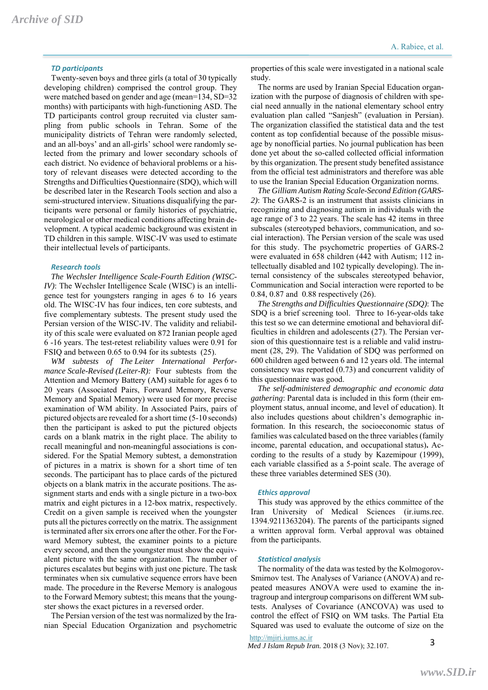Twenty-seven boys and three girls (a total of 30 typically developing children) comprised the control group. They were matched based on gender and age (mean=134, SD=32 months) with participants with high-functioning ASD. The TD participants control group recruited via cluster sampling from public schools in Tehran. Some of the municipality districts of Tehran were randomly selected, and an all-boys' and an all-girls' school were randomly selected from the primary and lower secondary schools of each district. No evidence of behavioral problems or a history of relevant diseases were detected according to the Strengths and Difficulties Questionnaire (SDQ), which will be described later in the Research Tools section and also a semi-structured interview. Situations disqualifying the participants were personal or family histories of psychiatric, neurological or other medical conditions affecting brain development. A typical academic background was existent in TD children in this sample. WISC-IV was used to estimate their intellectual levels of participants.

#### *Research tools*

*The Wechsler Intelligence Scale-Fourth Edition (WISC-IV*): The Wechsler Intelligence Scale (WISC) is an intelligence test for youngsters ranging in ages 6 to 16 years old. The WISC-IV has four indices, ten core subtests, and five complementary subtests. The present study used the Persian version of the WISC-IV. The validity and reliability of this scale were evaluated on 872 Iranian people aged 6 -16 years. The test-retest reliability values were 0.91 for FSIQ and between 0.65 to 0.94 for its subtests (25).

*WM subtests of The Leiter International Performance Scale-Revised (Leiter-R):* Four subtests from the Attention and Memory Battery (AM) suitable for ages 6 to 20 years (Associated Pairs, Forward Memory, Reverse Memory and Spatial Memory) were used for more precise examination of WM ability. In Associated Pairs, pairs of pictured objects are revealed for a short time (5-10 seconds) then the participant is asked to put the pictured objects cards on a blank matrix in the right place. The ability to recall meaningful and non-meaningful associations is considered. For the Spatial Memory subtest, a demonstration of pictures in a matrix is shown for a short time of ten seconds. The participant has to place cards of the pictured objects on a blank matrix in the accurate positions. The assignment starts and ends with a single picture in a two-box matrix and eight pictures in a 12-box matrix, respectively. Credit on a given sample is received when the youngster puts all the pictures correctly on the matrix. The assignment is terminated after six errors one after the other. For the Forward Memory subtest, the examiner points to a picture every second, and then the youngster must show the equivalent picture with the same organization. The number of pictures escalates but begins with just one picture. The task terminates when six cumulative sequence errors have been made. The procedure in the Reverse Memory is analogous to the Forward Memory subtest; this means that the youngster shows the exact pictures in a reversed order.

The Persian version of the test was normalized by the Iranian Special Education Organization and psychometric

properties of this scale were investigated in a national scale study.

The norms are used by Iranian Special Education organization with the purpose of diagnosis of children with special need annually in the national elementary school entry evaluation plan called "Sanjesh" (evaluation in Persian). The organization classified the statistical data and the test content as top confidential because of the possible misusage by nonofficial parties. No journal publication has been done yet about the so-called collected official information by this organization. The present study benefited assistance from the official test administrators and therefore was able to use the Iranian Special Education Organization norms.

*The Gilliam Autism Rating Scale-Second Edition (GARS-2)*: The GARS-2 is an instrument that assists clinicians in recognizing and diagnosing autism in individuals with the age range of 3 to 22 years. The scale has 42 items in three subscales (stereotyped behaviors, communication, and social interaction). The Persian version of the scale was used for this study. The psychometric properties of GARS-2 were evaluated in 658 children (442 with Autism; 112 intellectually disabled and 102 typically developing). The internal consistency of the subscales stereotyped behavior, Communication and Social interaction were reported to be 0.84, 0.87 and 0.88 respectively (26).

*The Strengths and Difficulties Questionnaire (SDQ)*: The SDQ is a brief screening tool. Three to 16-year-olds take this test so we can determine emotional and behavioral difficulties in children and adolescents (27). The Persian version of this questionnaire test is a reliable and valid instrument (28, 29). The Validation of SDQ was performed on 600 children aged between 6 and 12 years old. The internal consistency was reported (0.73) and concurrent validity of this questionnaire was good.

*The self-administered demographic and economic data gathering*: Parental data is included in this form (their employment status, annual income, and level of education). It also includes questions about children's demographic information. In this research, the socioeconomic status of families was calculated based on the three variables (family income, parental education, and occupational status)**.** According to the results of a study by Kazemipour (1999), each variable classified as a 5-point scale. The average of these three variables determined SES (30).

#### *Ethics approval*

This study was approved by the ethics committee of the Iran University of Medical Sciences (ir.iums.rec. 1394.9211363204). The parents of the participants signed a written approval form. Verbal approval was obtained from the participants.

#### *Statistical analysis*

The normality of the data was tested by the Kolmogorov-Smirnov test. The Analyses of Variance (ANOVA) and repeated measures ANOVA were used to examine the intragroup and intergroup comparisons on different WM subtests. Analyses of Covariance (ANCOVA) was used to control the effect of FSIQ on WM tasks. The Partial Eta Squared was used to evaluate the outcome of size on the

#### http://mjiri.iums.ac.ir

*Med J Islam Repub Iran.* 2018 (3 Nov); 32.107.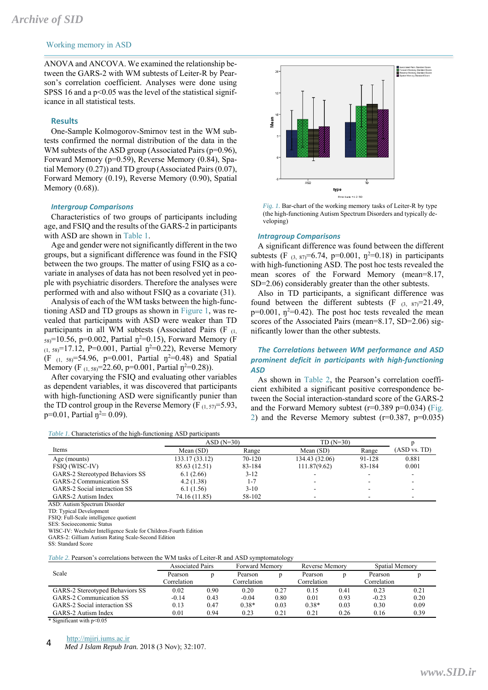## Working memory in ASD

ANOVA and ANCOVA. We examined the relationship between the GARS-2 with WM subtests of Leiter-R by Pearson's correlation coefficient. Analyses were done using SPSS 16 and a  $p<0.05$  was the level of the statistical significance in all statistical tests.

#### **Results**

One-Sample Kolmogorov-Smirnov test in the WM subtests confirmed the normal distribution of the data in the WM subtests of the ASD group (Associated Pairs (p=0.96), Forward Memory (p=0.59), Reverse Memory (0.84), Spatial Memory (0.27)) and TD group (Associated Pairs (0.07), Forward Memory (0.19), Reverse Memory (0.90), Spatial Memory (0.68)).

#### *Intergroup Comparisons*

Characteristics of two groups of participants including age, and FSIQ and the results of the GARS-2 in participants with ASD are shown in Table 1.

Age and gender were not significantly different in the two groups, but a significant difference was found in the FSIQ between the two groups. The matter of using FSIQ as a covariate in analyses of data has not been resolved yet in people with psychiatric disorders. Therefore the analyses were performed with and also without FSIQ as a covariate (31).

Analysis of each of the WM tasks between the high-functioning ASD and TD groups as shown in Figure 1, was revealed that participants with ASD were weaker than TD participants in all WM subtests (Associated Pairs  $(F_{(1)})$  $_{58}$ =10.56, p=0.002, Partial  $\eta$ <sup>2=0.15</sup>), Forward Memory (F  $(1, 58) = 17.12$ , P=0.001, Partial  $\eta^2 = 0.22$ ), Reverse Memory (F<sub>(1, 58)</sub>=54.96, p=0.001, Partial  $\eta^2$ =0.48) and Spatial Memory (F<sub>(1,58)</sub>=22.60, p=0.001, Partial  $\eta^2$ =0.28)).

After covarying the FSIQ and evaluating other variables as dependent variables, it was discovered that participants with high-functioning ASD were significantly punier than the TD control group in the Reverse Memory (F $_{(1, 57)} = 5.93$ ,  $p=0.01$ , Partial  $\eta^2=0.09$ ).

*Table 1.* Characteristics of the high-functioning ASD participants



*Fig. 1.* Bar-chart of the working memory tasks of Leiter-R by type (the high-functioning Autism Spectrum Disorders and typically developing)

#### *Intragroup Comparisons*

A significant difference was found between the different subtests (F  $_{(3, 87)}=6.74$ , p=0.001,  $\eta^2=0.18$ ) in participants with high-functioning ASD. The post hoc tests revealed the mean scores of the Forward Memory (mean=8.17, SD=2.06) considerably greater than the other subtests.

Also in TD participants, a significant difference was found between the different subtests  $(F_{(3, 87)}=21.49)$ ,  $p=0.001$ ,  $p^2=0.42$ ). The post hoc tests revealed the mean scores of the Associated Pairs (mean=8.17, SD=2.06) significantly lower than the other subtests.

## *The Correlations between WM performance and ASD prominent deficit in participants with high‐functioning ASD*

As shown in Table 2, the Pearson's correlation coefficient exhibited a significant positive correspondence between the Social interaction-standard score of the GARS-2 and the Forward Memory subtest  $(r=0.389 \text{ p}=0.034)$  (Fig. 2) and the Reverse Memory subtest  $(r=0.387, p=0.035)$ 

|                                 | $ASD(N=30)$    |          | $TD(N=30)$     |        |                          |  |
|---------------------------------|----------------|----------|----------------|--------|--------------------------|--|
| Items                           | Mean $(SD)$    | Range    | Mean $(SD)$    | Range  | (ASD vs. TD)             |  |
| Age (mounts)                    | 133.17 (33.12) | 70-120   | 134.43 (32.06) | 91-128 | 0.881                    |  |
| <b>FSIO (WISC-IV)</b>           | 85.63 (12.51)  | 83-184   | 111.87(9.62)   | 83-184 | 0.001                    |  |
| GARS-2 Stereotyped Behaviors SS | 6.1(2.66)      | $3 - 12$ | $\sim$         |        | $\overline{\phantom{0}}$ |  |
| GARS-2 Communication SS         | 4.2(1.38)      | $1 - 7$  |                |        |                          |  |
| GARS-2 Social interaction SS    | 6.1(1.56)      | $3-10$   | -              |        |                          |  |
| GARS-2 Autism Index             | 74.16 (11.85)  | 58-102   | -              |        |                          |  |

ASD: Autism Spectrum Disorder

TD: Typical Development

FSIQ: Full-Scale intelligence quotient

SES: Socioeconomic Status

WISC-IV: Wechsler Intelligence Scale for Children-Fourth Edition

GARS-2: Gilliam Autism Rating Scale-Second Edition

SS: Standard Score

*Table 2.* Pearson's correlations between the WM tasks of Leiter-R and ASD symptomatology

|                                 | <b>Associated Pairs</b> |      | <b>Forward Memory</b> |      | Reverse Memory |      | Spatial Memory |      |
|---------------------------------|-------------------------|------|-----------------------|------|----------------|------|----------------|------|
| Scale                           | Pearson                 |      | Pearson               |      | Pearson        |      | Pearson        |      |
|                                 | Correlation             |      | Correlation           |      | Correlation    |      | Correlation    |      |
| GARS-2 Stereotyped Behaviors SS | 0.02                    | 0.90 | 0.20                  | 0.27 | 0.15           | 0.41 | 0.23           | 0.21 |
| GARS-2 Communication SS         | $-0.14$                 | 0.43 | $-0.04$               | 0.80 | 0.01           | 0.93 | $-0.23$        | 0.20 |
| GARS-2 Social interaction SS    | 0.13                    | 0.47 | $0.38*$               | 0.03 | $0.38*$        | 0.03 | 0.30           | 0.09 |
| GARS-2 Autism Index             | 0.01                    | 0.94 | 0.23                  | 0.21 | 0.21           | 0.26 | 0.16           | 0.39 |

\* Significant with p<0.05

#### http://mjiri.iums.ac.ir

*Med J Islam Repub Iran.* 2018 (3 Nov); 32:107. 4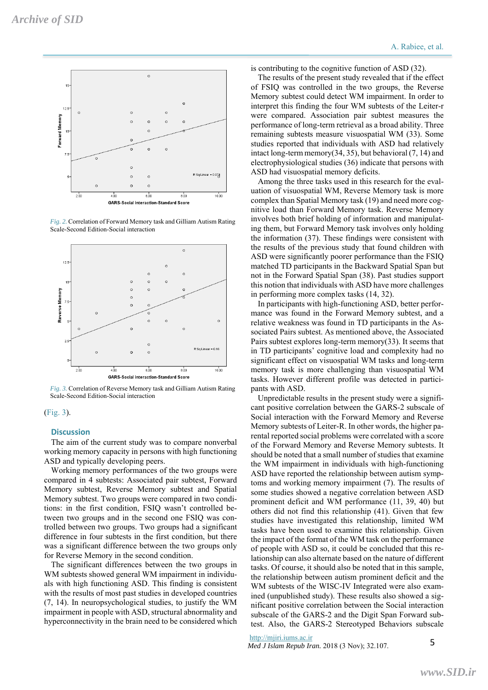

*Fig. 2.* Correlation of Forward Memory task and Gilliam Autism Rating Scale-Second Edition-Social interaction



*Fig. 3.* Correlation of Reverse Memory task and Gilliam Autism Rating Scale-Second Edition-Social interaction

### (Fig. 3).

#### **Discussion**

The aim of the current study was to compare nonverbal working memory capacity in persons with high functioning ASD and typically developing peers.

Working memory performances of the two groups were compared in 4 subtests: Associated pair subtest, Forward Memory subtest, Reverse Memory subtest and Spatial Memory subtest. Two groups were compared in two conditions: in the first condition, FSIQ wasn't controlled between two groups and in the second one FSIQ was controlled between two groups. Two groups had a significant difference in four subtests in the first condition, but there was a significant difference between the two groups only for Reverse Memory in the second condition.

The significant differences between the two groups in WM subtests showed general WM impairment in individuals with high functioning ASD. This finding is consistent with the results of most past studies in developed countries (7, 14). In neuropsychological studies, to justify the WM impairment in people with ASD, structural abnormality and hyperconnectivity in the brain need to be considered which is contributing to the cognitive function of ASD (32).

The results of the present study revealed that if the effect of FSIQ was controlled in the two groups, the Reverse Memory subtest could detect WM impairment. In order to interpret this finding the four WM subtests of the Leiter-r were compared. Association pair subtest measures the performance of long-term retrieval as a broad ability. Three remaining subtests measure visuospatial WM (33). Some studies reported that individuals with ASD had relatively intact long-term memory(34, 35), but behavioral (7, 14) and electrophysiological studies (36) indicate that persons with ASD had visuospatial memory deficits.

Among the three tasks used in this research for the evaluation of visuospatial WM, Reverse Memory task is more complex than Spatial Memory task (19) and need more cognitive load than Forward Memory task. Reverse Memory involves both brief holding of information and manipulating them, but Forward Memory task involves only holding the information (37). These findings were consistent with the results of the previous study that found children with ASD were significantly poorer performance than the FSIQ matched TD participants in the Backward Spatial Span but not in the Forward Spatial Span (38). Past studies support this notion that individuals with ASD have more challenges in performing more complex tasks (14, 32).

In participants with high-functioning ASD, better performance was found in the Forward Memory subtest, and a relative weakness was found in TD participants in the Associated Pairs subtest. As mentioned above, the Associated Pairs subtest explores long-term memory(33). It seems that in TD participants' cognitive load and complexity had no significant effect on visuospatial WM tasks and long-term memory task is more challenging than visuospatial WM tasks. However different profile was detected in participants with ASD.

Unpredictable results in the present study were a significant positive correlation between the GARS-2 subscale of Social interaction with the Forward Memory and Reverse Memory subtests of Leiter-R. In other words, the higher parental reported social problems were correlated with a score of the Forward Memory and Reverse Memory subtests. It should be noted that a small number of studies that examine the WM impairment in individuals with high-functioning ASD have reported the relationship between autism symptoms and working memory impairment (7). The results of some studies showed a negative correlation between ASD prominent deficit and WM performance (11, 39, 40) but others did not find this relationship (41). Given that few studies have investigated this relationship, limited WM tasks have been used to examine this relationship. Given the impact of the format of the WM task on the performance of people with ASD so, it could be concluded that this relationship can also alternate based on the nature of different tasks. Of course, it should also be noted that in this sample, the relationship between autism prominent deficit and the WM subtests of the WISC-IV Integrated were also examined (unpublished study). These results also showed a significant positive correlation between the Social interaction subscale of the GARS-2 and the Digit Span Forward subtest. Also, the GARS-2 Stereotyped Behaviors subscale

http://mjiri.iums.ac.ir

*Med J Islam Repub Iran.* 2018 (3 Nov); 32.107.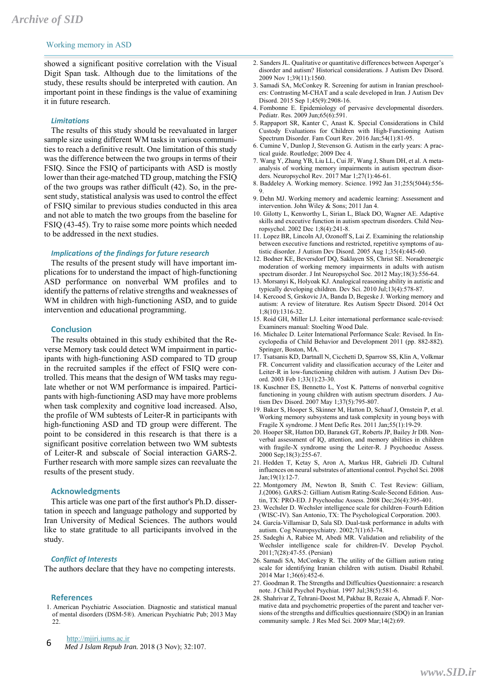## Working memory in ASD

showed a significant positive correlation with the Visual Digit Span task. Although due to the limitations of the study, these results should be interpreted with caution. An important point in these findings is the value of examining it in future research.

#### *Limitations*

The results of this study should be reevaluated in larger sample size using different WM tasks in various communities to reach a definitive result. One limitation of this study was the difference between the two groups in terms of their FSIQ. Since the FSIQ of participants with ASD is mostly lower than their age-matched TD group, matching the FSIQ of the two groups was rather difficult (42). So, in the present study, statistical analysis was used to control the effect of FSIQ similar to previous studies conducted in this area and not able to match the two groups from the baseline for FSIQ (43-45). Try to raise some more points which needed to be addressed in the next studies.

#### *Implications of the findings for future research*

The results of the present study will have important implications for to understand the impact of high-functioning ASD performance on nonverbal WM profiles and to identify the patterns of relative strengths and weaknesses of WM in children with high-functioning ASD, and to guide intervention and educational programming.

#### **Conclusion**

The results obtained in this study exhibited that the Reverse Memory task could detect WM impairment in participants with high-functioning ASD compared to TD group in the recruited samples if the effect of FSIQ were controlled. This means that the design of WM tasks may regulate whether or not WM performance is impaired. Participants with high-functioning ASD may have more problems when task complexity and cognitive load increased. Also, the profile of WM subtests of Leiter-R in participants with high-functioning ASD and TD group were different. The point to be considered in this research is that there is a significant positive correlation between two WM subtests of Leiter-R and subscale of Social interaction GARS-2. Further research with more sample sizes can reevaluate the results of the present study.

#### **Acknowledgments**

This article was one part of the first author's Ph.D. dissertation in speech and language pathology and supported by Iran University of Medical Sciences. The authors would like to state gratitude to all participants involved in the study.

#### *Conflict of Interests*

The authors declare that they have no competing interests.

#### **References**

1. American Psychiatric Association. Diagnostic and statistical manual of mental disorders (DSM-5®). American Psychiatric Pub; 2013 May 22.

http://mjiri.iums.ac.ir

*Med J Islam Repub Iran.* 2018 (3 Nov); 32:107. 6

- 2. Sanders JL. Qualitative or quantitative differences between Asperger's disorder and autism? Historical considerations. J Autism Dev Disord. 2009 Nov 1;39(11):1560.
- 3. Samadi SA, McConkey R. Screening for autism in Iranian preschoolers: Contrasting M-CHAT and a scale developed in Iran. J Autism Dev Disord. 2015 Sep 1;45(9):2908-16.
- 4. Fombonne E. Epidemiology of pervasive developmental disorders. Pediatr. Res. 2009 Jun;65(6):591.
- 5. Rappaport SR, Kanter C, Anast K. Special Considerations in Child Custody Evaluations for Children with High‐Functioning Autism Spectrum Disorder. Fam Court Rev. 2016 Jan;54(1):81-95.
- 6. Cumine V, Dunlop J, Stevenson G. Autism in the early years: A practical guide. Routledge; 2009 Dec 4.
- 7. Wang Y, Zhang YB, Liu LL, Cui JF, Wang J, Shum DH, et al. A metaanalysis of working memory impairments in autism spectrum disorders. Neuropsychol Rev. 2017 Mar 1;27(1):46-61.
- 8. Baddeley A. Working memory. Science. 1992 Jan 31;255(5044):556- 9.
- 9. Dehn MJ. Working memory and academic learning: Assessment and intervention. John Wiley & Sons; 2011 Jan 4.
- 10. Gilotty L, Kenworthy L, Sirian L, Black DO, Wagner AE. Adaptive skills and executive function in autism spectrum disorders. Child Neuropsychol. 2002 Dec 1;8(4):241-8.
- 11. Lopez BR, Lincoln AJ, Ozonoff S, Lai Z. Examining the relationship between executive functions and restricted, repetitive symptoms of autistic disorder. J Autism Dev Disord. 2005 Aug 1;35(4):445-60.
- 12. Bodner KE, Beversdorf DQ, Saklayen SS, Christ SE. Noradrenergic moderation of working memory impairments in adults with autism spectrum disorder. J Int Neuropsychol Soc. 2012 May;18(3):556-64.
- 13. Morsanyi K, Holyoak KJ. Analogical reasoning ability in autistic and typically developing children. Dev Sci. 2010 Jul;13(4):578-87.
- 14. Kercood S, Grskovic JA, Banda D, Begeske J. Working memory and autism: A review of literature. Res Autism Spectr Disord. 2014 Oct 1;8(10):1316-32.
- 15. Roid GH, Miller LJ. Leiter international performance scale-revised: Examiners manual: Stoelting Wood Dale.
- 16. Michalec D. Leiter International Performance Scale: Revised. In Encyclopedia of Child Behavior and Development 2011 (pp. 882-882). Springer, Boston, MA.
- 17. Tsatsanis KD, Dartnall N, Cicchetti D, Sparrow SS, Klin A, Volkmar FR. Concurrent validity and classification accuracy of the Leiter and Leiter-R in low-functioning children with autism. J Autism Dev Disord. 2003 Feb 1;33(1):23-30.
- 18. Kuschner ES, Bennetto L, Yost K. Patterns of nonverbal cognitive functioning in young children with autism spectrum disorders. J Autism Dev Disord. 2007 May 1;37(5):795-807.
- 19. Baker S, Hooper S, Skinner M, Hatton D, Schaaf J, Ornstein P, et al. Working memory subsystems and task complexity in young boys with Fragile X syndrome. J Ment Defic Res. 2011 Jan;55(1):19-29.
- 20. Hooper SR, Hatton DD, Baranek GT, Roberts JP, Bailey Jr DB. Nonverbal assessment of IQ, attention, and memory abilities in children with fragile-X syndrome using the Leiter-R. J Psychoeduc Assess. 2000 Sep;18(3):255-67.
- 21. Hedden T, Ketay S, Aron A, Markus HR, Gabrieli JD. Cultural influences on neural substrates of attentional control. Psychol Sci. 2008 Jan;19(1):12-7.
- 22. Montgomery JM, Newton B, Smith C. Test Review: Gilliam, J.(2006). GARS-2: Gilliam Autism Rating-Scale-Second Edition. Austin, TX: PRO-ED. J Psychoeduc Assess. 2008 Dec;26(4):395-401.
- 23. Wechsler D. Wechsler intelligence scale for children–Fourth Edition (WISC-IV). San Antonio, TX: The Psychological Corporation. 2003.
- 24. García-Villamisar D, Sala SD. Dual-task performance in adults with autism. Cog Neuropsychiatry. 2002;7(1):63-74.
- 25. Sadeghi A, Rabiee M, Abedi MR. Validation and reliability of the Wechsler intelligence scale for children-IV. Develop Psychol. 2011;7(28):47-55. (Persian)
- 26. Samadi SA, McConkey R. The utility of the Gilliam autism rating scale for identifying Iranian children with autism. Disabil Rehabil. 2014 Mar 1:36(6):452-6.
- 27. Goodman R. The Strengths and Difficulties Questionnaire: a research note. J Child Psychol Psychiat. 1997 Jul;38(5):581-6.
- 28. Shahrivar Z, Tehrani-Doost M, Pakbaz B, Rezaie A, Ahmadi F. Normative data and psychometric properties of the parent and teacher versions of the strengths and difficulties questionnaire (SDQ) in an Iranian community sample. J Res Med Sci. 2009 Mar;14(2):69.